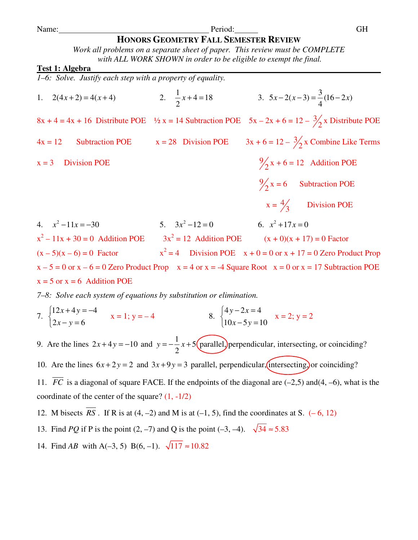# **HONORS GEOMETRY FALL SEMESTER REVIEW**

*Work all problems on a separate sheet of paper. This review must be COMPLETE with ALL WORK SHOWN in order to be eligible to exempt the final.* 

#### **Test 1: Algebra**

*1–6: Solve. Justify each step with a property of equality.* 

1.  $2(4x+2) = 4(x+4)$  $4 = 18$ 2  $x+4=18$  3.  $5x-2(x-3)=\frac{3}{1}(16-2x)$ 4  $x - 2(x - 3) = \frac{3}{2}(16 - 2x)$  $8x + 4 = 4x + 16$  Distribute POE  $\frac{1}{2}x = 14$  Subtraction POE  $5x - 2x + 6 = 12 - \frac{3}{2}x$  Distribute POE  $4x = 12$  Subtraction POE  $x = 28$  Division POE  $3x + 6 = 12 - \frac{3}{2}x$  Combine Like Terms  $x = 3$  Division POE  $2 x + 6 = 12$  Addition POE 9  $2 x = 6$  Subtraction POE  $x = \frac{4}{7}$ 3 Division POE 4.  $x^2 - 11x = -30$  5.  $3x^2$  $3x^2 - 12 = 0$ 6.  $x^2 + 17x = 0$  $x^2 - 11x + 30 = 0$  Addition POE  $3x^2$  $3x^2 = 12$  Addition POE  $(x + 0)(x + 17) = 0$  Factor  $(x - 5)(x - 6) = 0$  Factor  $x^2 = 4$  Division POE  $x + 0 = 0$  or  $x + 17 = 0$  Zero Product Prop  $x - 5 = 0$  or  $x - 6 = 0$  Zero Product Prop  $x = 4$  or  $x = -4$  Square Root  $x = 0$  or  $x = 17$  Subtraction POE  $x = 5$  or  $x = 6$  Addition POE

*7–8: Solve each system of equations by substitution or elimination.* 

7. 
$$
\begin{cases} 12x + 4y = -4 \\ 2x - y = 6 \end{cases}
$$
 x = 1; y = -4  
8. 
$$
\begin{cases} 4y - 2x = 4 \\ 10x - 5y = 10 \end{cases}
$$
 x = 2; y = 2

9. Are the lines  $2x+4y=-10$  and  $y=-\frac{1}{2}x+5$ 2  $y = -\frac{1}{2}x + 5$  (parallel) perpendicular, intersecting, or coinciding?

10. Are the lines  $6x + 2y = 2$  and  $3x + 9y = 3$  parallel, perpendicular, intersecting, or coinciding?

11.  $\overline{FC}$  is a diagonal of square FACE. If the endpoints of the diagonal are  $(-2,5)$  and  $(4, -6)$ , what is the coordinate of the center of the square?  $(1, -1/2)$ 

12. M bisects  $\overline{RS}$ . If R is at (4, -2) and M is at (-1, 5), find the coordinates at S. (-6, 12)

- 13. Find *PO* if P is the point (2, –7) and O is the point (–3, –4).  $\sqrt{34} \approx 5.83$
- 14. Find *AB* with A(–3, 5) B(6, –1).  $\sqrt{117} \approx 10.82$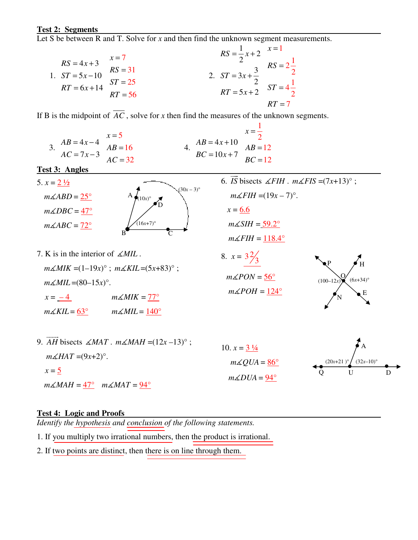#### **Test 2: Segments**

Let S be between R and T. Solve for *x* and then find the unknown segment measurements.

1.  $ST = 5x - 10$  $RS = 4x + 3$  $RT = 6x + 14$  $x = 7$  $RS = 31$  $ST = 25$  $RT = 56$  2.  $\frac{1}{2}x+2$ 2  $3x + \frac{3}{2}$ 2  $5x + 2$  $=\frac{1}{x} +$  $= 3x +$  $= 5x +$  $RS = \frac{1}{2}x$  $ST = 3x$  $RT = 5x$ 1  $2\frac{1}{2}$ 2  $4\frac{1}{2}$ 2  $RT = 7$ *x RS ST* = = =

If B is the midpoint of  $\overline{AC}$ , solve for *x* then find the measures of the unknown segments.

 $AB = 4x-4$  $7x - 3$  $AB = 4x$  $AC = 7x$  $= 4x = 7x - 3$ 5 16 32 *x AB AC* = = =  $AB = 4x + 10$  $10x + 7$  $AB = 4x$  $BC = 10x$  $= 4x +$  $= 10x + 7$ 1 2 12 12 *x AB BC* = = =

**Test 3: Angles** 

- $B$ A D  $\mathsf{C}$  $(16x+7)$ °  $(10x)$ °  $(30x - 3)°$ 5.  $x = \frac{2 \frac{1}{2}}{2}$  $m\angle ABD = 25^\circ$  $m\angle DBC = 47^\circ$  $m\measuredangle ABC = 72^\circ$ 6. *IS*  $\rightarrow$ bisects  $\angle FH$ .  $m\angle FIS = (7x+13)^{\circ}$ ;  $m\measuredangle FH = (19x - 7)$ °.  $x = 6.6$  $m\measuredangle SIH = 59.2^\circ$  $m\measuredangle FH = \underline{118.4^\circ}$
- 7. K is in the interior of *MIL* .  $m\angle MIK = (1-19x)°$ ;  $m\angle KIL = (5x+83)°$ ;  $m\angle MIL = (80-15x)$ °.  $x = -4$  *m* $\angle$ *MIK* = 77°  $m\measuredangle KIL = 63^\circ$   $m\measuredangle MIL = 140^\circ$
- 8.  $x = 3\frac{2}{3}$  $m\angle PON = 56^\circ$  $m\measuredangle POH = 124^\circ$



9. *AH* -- bisects  $\angle MAT$ .  $m\angle MAH = (12x-13)^\circ$ ;  $m\measuredangle HAT = (9x+2)^\circ$ .  $x = 5$  $m\measuredangle MAH = 47^\circ$   $m\measuredangle MAT = 94^\circ$ 10.  $x = 3\frac{1}{4}$  $m\measuredangle QUA = 86^\circ$  $m\measuredangle DUA = 94^\circ$ Q U D A  $(20x+21)^\circ$  (32*x*–10)°

## **Test 4: Logic and Proofs**

*Identify the hypothesis and conclusion of the following statements.* 

1. If you multiply two irrational numbers, then the product is irrational.

2. If two points are distinct, then there is on line through them.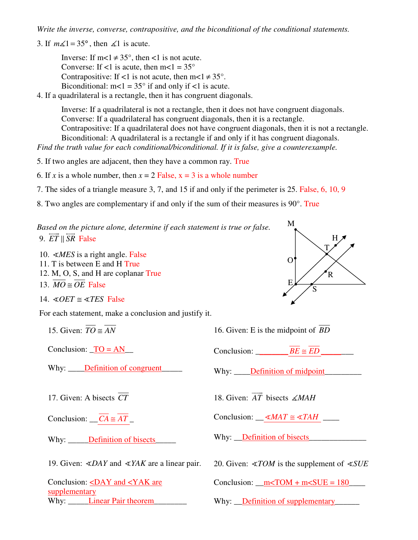*Write the inverse, converse, contrapositive, and the biconditional of the conditional statements.* 

3. If  $m\angle 1 = 35^\circ$ , then  $\angle 1$  is acute.

Inverse: If m<1  $\neq$  35°, then <1 is not acute. Converse: If <1 is acute, then  $m < 1 = 35^{\circ}$ Contrapositive: If <1 is not acute, then  $m < 1 \neq 35^{\circ}$ . Biconditional:  $m < 1 = 35^\circ$  if and only if  $< 1$  is acute.

4. If a quadrilateral is a rectangle, then it has congruent diagonals.

 Inverse: If a quadrilateral is not a rectangle, then it does not have congruent diagonals. Converse: If a quadrilateral has congruent diagonals, then it is a rectangle. Contrapositive: If a quadrilateral does not have congruent diagonals, then it is not a rectangle. Biconditional: A quadrilateral is a rectangle if and only if it has congruent diagonals.

*Find the truth value for each conditional/biconditional. If it is false, give a counterexample.* 

5. If two angles are adjacent, then they have a common ray. True

6. If *x* is a whole number, then  $x = 2$  False,  $x = 3$  is a whole number

7. The sides of a triangle measure 3, 7, and 15 if and only if the perimeter is 25. False, 6, 10, 9

8. Two angles are complementary if and only if the sum of their measures is 90°. True

*Based on the picture alone, determine if each statement is true or false.* 9. *ET* || SR False

10. *MES* is a right angle. False 11. T is between E and H True 12. M, O, S, and H are coplanar True 13.  $\overline{MO} \cong \overline{OE}$  False

14.  $\triangle$ *OET*  $\cong \triangle$ *TES* False

For each statement, make a conclusion and justify it.

15. Given:  $\overline{TO} \approx \overline{AN}$ 

Conclusion:  $TO = AN$ 

Why: Definition of congruent

17. Given: A bisects *CT*

Conclusion:  $\overline{CA} \cong \overline{AT}$ 

Why: Definition of bisects

19. Given:  $\angle DAY$  and  $\angle YAK$  are a linear pair.

Conclusion:  $\angle$ DAY and  $\angle$ YAK are supplementary Why: Linear Pair theorem 16. Given: E is the midpoint of *BD*

Conclusion:  $\overline{BE} \cong \overline{ED}$ 

Why: Definition of midpoint

18. Given: *AT*  $\longrightarrow$ bisects *MAH*

Conclusion:  $\_\leq MAT \cong \leq TAH$ 

Why: Definition of bisects

20. Given:  $\angle TOM$  is the supplement of  $\angle SUE$ 

Conclusion:  $\text{m}$ <TOM + m<SUE = 180

Why: Definition of supplementary

O M T, H, E,  $R$ S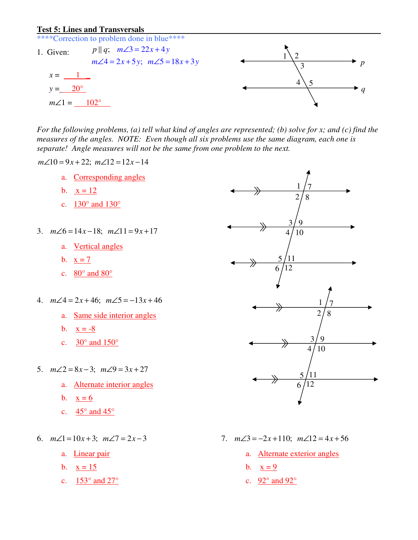#### **Test 5: Lines and Transversals**

\*\*\*\*Correction to problem done in blue\*\*\*\*

 $p || q; m \angle 3 = 22x + 4y$  $m\angle 4 = 2x + 5y$ ;  $m\angle 5 = 18x + 3y$ 1. Given:  $x = \underline{\qquad 1}$  $y = 20^{\circ}$  $m\angle 1 = 102^{\circ}$ 



*For the following problems, (a) tell what kind of angles are represented; (b) solve for x; and (c) find the measures of the angles. NOTE: Even though all six problems use the same diagram, each one is separate! Angle measures will not be the same from one problem to the next.* 

 $m\angle 10 = 9x + 22$ ;  $m\angle 12 = 12x - 14$ 

- a. Corresponding angles
- b.  $x = 12$
- c. 130° and 130°
- 3.  $m\angle 6 = 14x 18$ ;  $m\angle 11 = 9x + 17$ 
	- a. Vertical angles
	- b.  $x = 7$
	- c.  $80^\circ$  and  $80^\circ$
- 4.  $m\angle 4 = 2x + 46$ ;  $m\angle 5 = -13x + 46$ 
	- a. Same side interior angles
	- b.  $x = -8$
	- c.  $30^{\circ}$  and  $150^{\circ}$
- 5.  $m\angle 2 = 8x 3$ ;  $m\angle 9 = 3x + 27$ 
	- a. Alternate interior angles
	- b.  $x = 6$
	- c.  $45^{\circ}$  and  $45^{\circ}$
- 6.  $m\angle 1 = 10x + 3$ ;  $m\angle 7 = 2x 3$ 
	- a. Linear pair
	- b.  $x = 15$
	- c.  $153^\circ$  and  $27^\circ$



- 7.  $m\angle 3 = -2x+110$ ;  $m\angle 12 = 4x+56$ 
	- a. Alternate exterior angles
	- b.  $x = 9$
	- c. 92° and 92°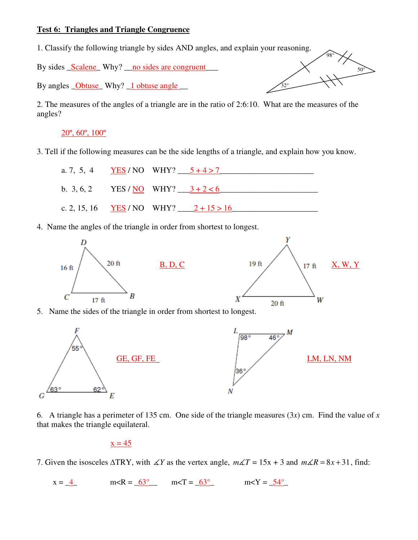## **Test 6: Triangles and Triangle Congruence**

1. Classify the following triangle by sides AND angles, and explain your reasoning.

By sides <u>Scalene</u> Why? no sides are congruent

By angles **Obtuse** Why? 1 obtuse angle

2. The measures of the angles of a triangle are in the ratio of 2:6:10. What are the measures of the angles?

32°

50°

98°

 $20^\circ, 60^\circ, 100^\circ$ 

3. Tell if the following measures can be the side lengths of a triangle, and explain how you know.



4. Name the angles of the triangle in order from shortest to longest.





6. A triangle has a perimeter of 135 cm. One side of the triangle measures (3*x*) cm. Find the value of *x* that makes the triangle equilateral.

 $x = 45$ 

7. Given the isosceles  $\triangle$ TRY, with  $\angle$ *Y* as the vertex angle,  $m\angle T = 15x + 3$  and  $m\angle R = 8x + 31$ , find:

 $x = 4$  m<R =  $63^\circ$  m <T =  $63^\circ$  m <Y =  $54^\circ$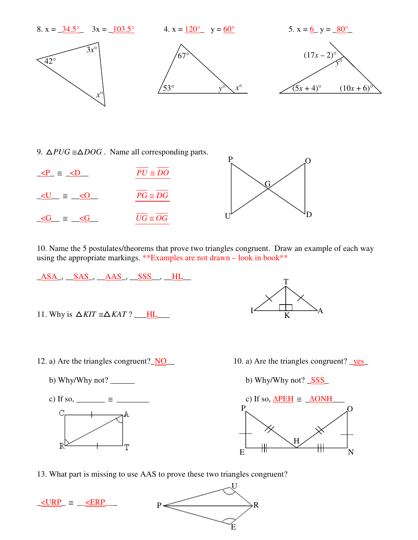

P

9.  $\triangle PUG \cong \triangle DOG$ . Name all corresponding parts.

| $P = \leq D$ | $PU \cong DO$            |  |
|--------------|--------------------------|--|
| $\simeq$     | $\overline{PG} \cong DG$ |  |
| $\simeq$     | $UG \cong OG$            |  |

10. Name the 5 postulates/theorems that prove two triangles congruent. Draw an example of each way using the appropriate markings. \*\*Examples are not drawn – look in book\*\*



- 12. a) Are the triangles congruent? NO\_\_ 10. a) Are the triangles congruent? \_yes\_
	-
	- $\mathbb{R}^1$ T
- 
- b) Why/Why not?  $\frac{SSS}{s}$

U

R

E



13. What part is missing to use AAS to prove these two triangles congruent?

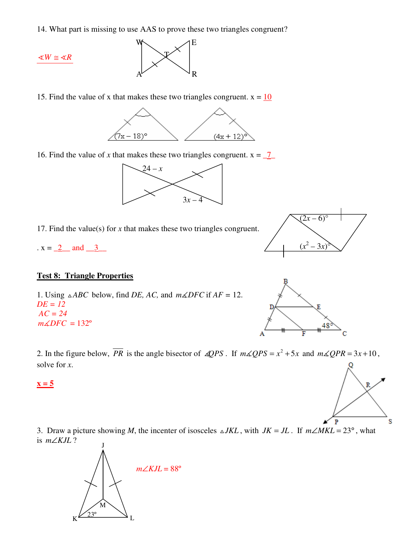14. What part is missing to use AAS to prove these two triangles congruent?



15. Find the value of x that makes these two triangles congruent.  $x = 10$ 



16. Find the value of *x* that makes these two triangles congruent.  $x = 7$ 



17. Find the value(s) for *x* that makes these two triangles congruent.

.  $x = 2$  and  $3$ 

## **Test 8: Triangle Properties**

1. Using  $\triangle ABC$  below, find *DE*, *AC*, and  $m\angle DFC$  if  $AF = 12$ . *DE = 12 AC = 24*   $m\measuredangle DFC = 132^\circ$ 





2. In the figure below,  $\overline{PR}$  is the angle bisector of  $\angle QPS$ . If  $m\angle QPS = x^2 + 5x$  and  $m\angle QPR = 3x + 10$ , solve for *x*.

#### $x = 5$

3. Draw a picture showing *M*, the incenter of isosceles  $\triangle JKL$ , with  $JK = JL$ . If  $m\angle MKL = 23^\circ$ , what is *m∠KJL* ?



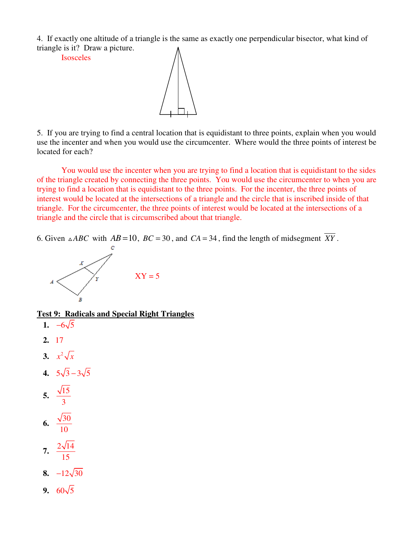4. If exactly one altitude of a triangle is the same as exactly one perpendicular bisector, what kind of triangle is it? Draw a picture.

Isosceles



5. If you are trying to find a central location that is equidistant to three points, explain when you would use the incenter and when you would use the circumcenter. Where would the three points of interest be located for each?

You would use the incenter when you are trying to find a location that is equidistant to the sides of the triangle created by connecting the three points. You would use the circumcenter to when you are trying to find a location that is equidistant to the three points. For the incenter, the three points of interest would be located at the intersections of a triangle and the circle that is inscribed inside of that triangle. For the circumcenter, the three points of interest would be located at the intersections of a triangle and the circle that is circumscribed about that triangle.

6. Given  $\triangle ABC$  with  $AB = 10$ ,  $BC = 30$ , and  $CA = 34$ , find the length of midsegment *XY*.



**Test 9: Radicals and Special Right Triangles**

**1.**  $-6\sqrt{5}$ **2.** 17 **3.**  $x^2 \sqrt{x}$ **4.**  $5\sqrt{3} - 3\sqrt{5}$ **5.**  $\frac{\sqrt{15}}{2}$ 3 **6.**  $\frac{\sqrt{30}}{10}$ 10 **7.**  $\frac{2\sqrt{14}}{15}$ 15 **8.**  $-12\sqrt{30}$ **9.**  $60\sqrt{5}$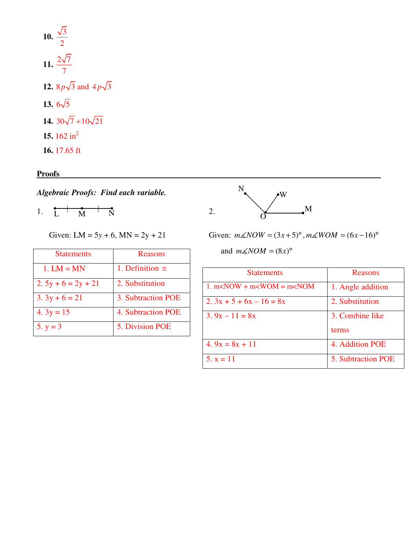**10.**  $\frac{\sqrt{3}}{2}$ 2 **11.**  $\frac{2\sqrt{7}}{7}$ 7 **12.** 8  $p\sqrt{3}$  and 4  $p\sqrt{3}$ **13.**  $6\sqrt{5}$ **14.**  $30\sqrt{7} + 10\sqrt{21}$ **15.** 162 in<sup>2</sup> **16.** 17.65 ft

**Proofs** 

*Algebraic Proofs: Find each variable.* 

1.  $L \uparrow M \uparrow N$  2.

| <b>Statements</b>    | Reasons                 |
|----------------------|-------------------------|
| $1. LM = MN$         | 1. Definition $\approx$ |
| $2.5y + 6 = 2y + 21$ | 2. Substitution         |
| $3.3y + 6 = 21$      | 3. Subtraction POE      |
| 4. $3y = 15$         | 4. Subtraction POE      |
| 5. $y = 3$           | 5. Division POE         |



Given: LM = 5*y* + 6, MN = 2*y* + 21 Given:  $m\angle NOW = (3x+5)^\circ$ ,  $m\angle WOM = (6x-16)^\circ$ 

and  $m\angle NOM = (8x)$ <sup>o</sup>

| <b>Statements</b>                               | Reasons            |
|-------------------------------------------------|--------------------|
| $1.$ m $\leq$ NOW + m $\leq$ WOM = m $\leq$ NOM | 1. Angle addition  |
| $2.3x + 5 + 6x - 16 = 8x$                       | 2. Substitution    |
| $3.9x - 11 = 8x$                                | 3. Combine like    |
|                                                 | terms              |
| 4. $9x = 8x + 11$                               | 4. Addition POE    |
| $5. x = 11$                                     | 5. Subtraction POE |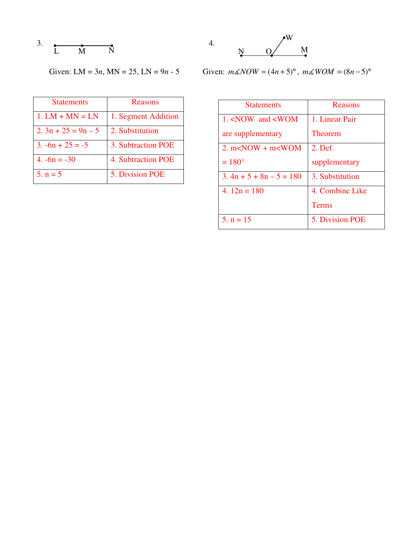3. 
$$
\begin{array}{cccc}\n & & & & \\
& \uparrow & & & \\
& \uparrow & & \uparrow & & \\
& \uparrow & & & \n\end{array}
$$



| <b>Statements</b>    | Reasons             |
|----------------------|---------------------|
| $1. LM + MN = LN$    | 1. Segment Addition |
| $2.3n + 25 = 9n - 5$ | 2. Substitution     |
| $3. -6n + 25 = -5$   | 3. Subtraction POE  |
| $4. -6n = -30$       | 4. Subtraction POE  |
| $5. n = 5$           | 5. Division POE     |



Given: LM = 3*n*, MN = 25, LN = 9*n* - 5 Given:  $m\angle NOW = (4n + 5)^\circ$ ,  $m\angle WOM = (8n - 5)^\circ$ 

| <b>Statements</b>                                           | Reasons         |
|-------------------------------------------------------------|-----------------|
| 1. <now <wom<="" and="" td=""><td>1. Linear Pair</td></now> | 1. Linear Pair  |
| are supplementary                                           | <b>Theorem</b>  |
| 2. $m<$ NOW + $m<$ WOM                                      | 2. Def.         |
| $=180^{\circ}$                                              | supplementary   |
| $3.4n + 5 + 8n - 5 = 180$                                   | 3. Substitution |
| 4. $12n = 180$                                              | 4. Combine Like |
|                                                             | <b>Terms</b>    |
| 5. $n = 15$                                                 | 5. Division POE |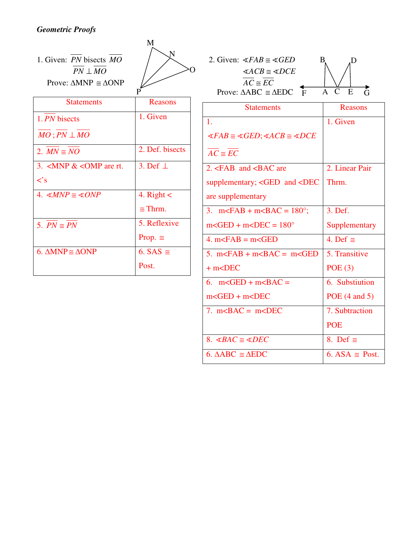# *Geometric Proofs*

| 1. Given: PN bisects MO<br>$PN \perp MO$<br>Prove: $\triangle MNP \cong \triangle ONP$ | M               | 2. Given: $\measuredangle FAB \cong \measuredangle GED$<br>$\triangle ACB \cong \triangle DCE$<br>$AC \cong EC$<br>$\mathbf{F}$<br>Prove: $\triangle ABC \cong \triangle EDC$ |
|----------------------------------------------------------------------------------------|-----------------|-------------------------------------------------------------------------------------------------------------------------------------------------------------------------------|
| <b>Statements</b>                                                                      | Reasons         | <b>Statements</b>                                                                                                                                                             |
| 1. PN bisects                                                                          | 1. Given        | 1.                                                                                                                                                                            |
| $MO$ ; $PN \perp MO$                                                                   |                 | $\measuredangle FAB \cong \measuredangle GED$ ; $\measuredangle ACB \cong \measuredangle DC$                                                                                  |
| 2. $MN \cong NO$                                                                       | 2. Def. bisects | $AC \cong EC$                                                                                                                                                                 |
| 3. $\langle$ MNP & $\langle$ OMP are rt.                                               | 3. Def $\perp$  | 2. $\leq$ FAB and $\leq$ BAC are                                                                                                                                              |
| $\langle$ 's                                                                           |                 | supplementary; <ged <d<="" and="" td=""></ged>                                                                                                                                |
| 4. $\triangle MNP \cong \triangle ONP$                                                 | 4. $Right <$    | are supplementary                                                                                                                                                             |
|                                                                                        | $\cong$ Thrm.   | 3. $m <$ FAB + $m <$ BAC = 180 $^{\circ}$ ;                                                                                                                                   |
| 5. $PN \cong PN$                                                                       | 5. Reflexive    | $m <$ GED + $m <$ DEC = 180 $^{\circ}$                                                                                                                                        |
|                                                                                        | Prop. $\cong$   | 4. $m <$ FAB = $m <$ GED                                                                                                                                                      |
| 6. $\triangle MNP \cong \triangle ONP$                                                 | 6. SAS $\cong$  | 5. $m FAB + m BAC = m GI$                                                                                                                                                     |
|                                                                                        | Post.           | $+m<$ DEC                                                                                                                                                                     |
|                                                                                        |                 |                                                                                                                                                                               |

| <b>Statements</b>                                                                             | Reasons        |
|-----------------------------------------------------------------------------------------------|----------------|
| $\mathbf{1}$ .                                                                                | 1. Given       |
| $\measuredangle FAB \cong \measuredangle GED$ ; $\measuredangle ACB \cong \measuredangle DCE$ |                |
| $AC \cong EC$                                                                                 |                |
| 2. $\leq$ FAB and $\leq$ BAC are                                                              | 2. Linear Pair |
| supplementary; <ged <dec<="" and="" td=""><td>Thrm.</td></ged>                                | Thrm.          |
| are supplementary                                                                             |                |
| 3. $m FAB + m BAC = 180°;$                                                                    | 3. Def.        |
| $m <$ GED + $m <$ DEC = 180 $^{\circ}$                                                        | Supplementary  |
| 4. $m <$ FAB = $m <$ GED                                                                      | 4. Def $\cong$ |
| 5. $m FAB + m BAC = m GED$                                                                    | 5. Transitive  |
| $+$ m $<$ DEC                                                                                 | POE(3)         |
| 6. $m <$ GED + $m <$ BAC =                                                                    | 6. Substiution |
| $m <$ GED + $m <$ DEC                                                                         | POE (4 and 5)  |
| 7. $mABC = mCDEC$                                                                             | 7. Subtraction |
|                                                                                               | <b>POE</b>     |
| 8. $\measuredangle BAC \cong \measuredangle DEC$                                              | 8. Def $\cong$ |

B

A C

D

E G

6.  $\triangle ABC \cong \triangle EDC$  6. ASA ≅ Post.